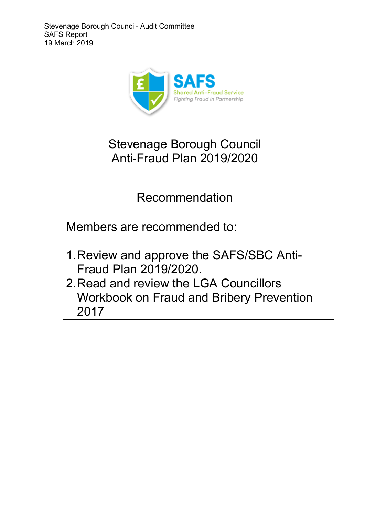

# Stevenage Borough Council Anti-Fraud Plan 2019/2020

# Recommendation

Members are recommended to:

- 1.Review and approve the SAFS/SBC Anti-Fraud Plan 2019/2020.
- 2.Read and review the LGA Councillors Workbook on Fraud and Bribery Prevention 2017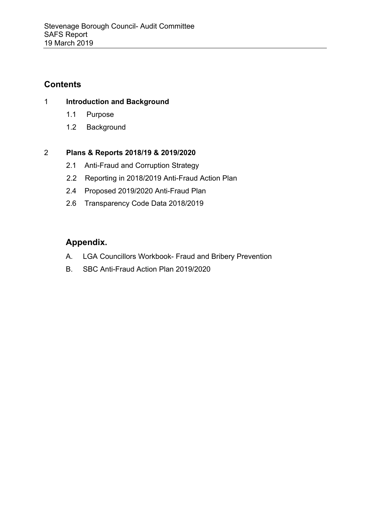## **Contents**

#### 1 **Introduction and Background**

- 1.1 Purpose
- 1.2 Background

#### 2 **Plans & Reports 2018/19 & 2019/2020**

- 2.1 Anti-Fraud and Corruption Strategy
- 2.2 Reporting in 2018/2019 Anti-Fraud Action Plan
- 2.4 Proposed 2019/2020 Anti-Fraud Plan
- 2.6 Transparency Code Data 2018/2019

# **Appendix.**

- A. LGA Councillors Workbook- Fraud and Bribery Prevention
- B. SBC Anti-Fraud Action Plan 2019/2020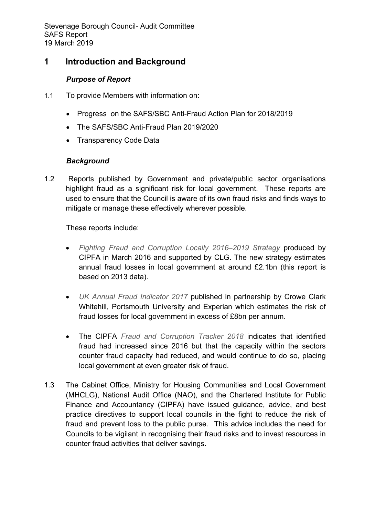### **1 Introduction and Background**

#### *Purpose of Report*

- 1.1 To provide Members with information on:
	- Progress on the SAFS/SBC Anti-Fraud Action Plan for 2018/2019
	- The SAFS/SBC Anti-Fraud Plan 2019/2020
	- Transparency Code Data

#### *Background*

1.2 Reports published by Government and private/public sector organisations highlight fraud as a significant risk for local government. These reports are used to ensure that the Council is aware of its own fraud risks and finds ways to mitigate or manage these effectively wherever possible.

These reports include:

- *Fighting Fraud and Corruption Locally 2016–2019 Strategy* produced by CIPFA in March 2016 and supported by CLG. The new strategy estimates annual fraud losses in local government at around £2.1bn (this report is based on 2013 data).
- *UK Annual Fraud Indicator 2017* published in partnership by Crowe Clark Whitehill, Portsmouth University and Experian which estimates the risk of fraud losses for local government in excess of £8bn per annum.
- The CIPFA *Fraud and Corruption Tracker 2018* indicates that identified fraud had increased since 2016 but that the capacity within the sectors counter fraud capacity had reduced, and would continue to do so, placing local government at even greater risk of fraud.
- 1.3 The Cabinet Office, Ministry for Housing Communities and Local Government (MHCLG), National Audit Office (NAO), and the Chartered Institute for Public Finance and Accountancy (CIPFA) have issued guidance, advice, and best practice directives to support local councils in the fight to reduce the risk of fraud and prevent loss to the public purse. This advice includes the need for Councils to be vigilant in recognising their fraud risks and to invest resources in counter fraud activities that deliver savings.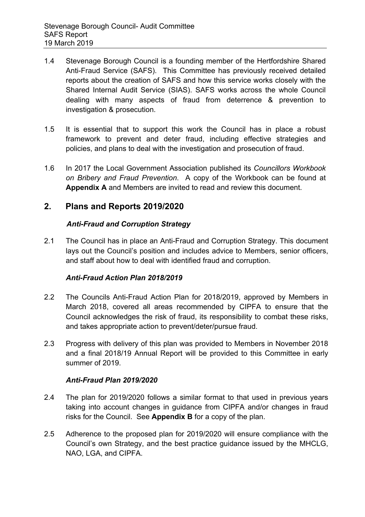- 1.4 Stevenage Borough Council is a founding member of the Hertfordshire Shared Anti-Fraud Service (SAFS). This Committee has previously received detailed reports about the creation of SAFS and how this service works closely with the Shared Internal Audit Service (SIAS). SAFS works across the whole Council dealing with many aspects of fraud from deterrence & prevention to investigation & prosecution.
- 1.5 It is essential that to support this work the Council has in place a robust framework to prevent and deter fraud, including effective strategies and policies, and plans to deal with the investigation and prosecution of fraud.
- 1.6 In 2017 the Local Government Association published its *Councillors Workbook on Bribery and Fraud Prevention*. A copy of the Workbook can be found at **Appendix A** and Members are invited to read and review this document.

#### **2. Plans and Reports 2019/2020**

#### *Anti-Fraud and Corruption Strategy*

2.1 The Council has in place an Anti-Fraud and Corruption Strategy. This document lays out the Council's position and includes advice to Members, senior officers, and staff about how to deal with identified fraud and corruption.

#### *Anti-Fraud Action Plan 2018/2019*

- 2.2 The Councils Anti-Fraud Action Plan for 2018/2019, approved by Members in March 2018, covered all areas recommended by CIPFA to ensure that the Council acknowledges the risk of fraud, its responsibility to combat these risks, and takes appropriate action to prevent/deter/pursue fraud.
- 2.3 Progress with delivery of this plan was provided to Members in November 2018 and a final 2018/19 Annual Report will be provided to this Committee in early summer of 2019.

#### *Anti-Fraud Plan 2019/2020*

- 2.4 The plan for 2019/2020 follows a similar format to that used in previous years taking into account changes in guidance from CIPFA and/or changes in fraud risks for the Council. See **Appendix B** for a copy of the plan.
- 2.5 Adherence to the proposed plan for 2019/2020 will ensure compliance with the Council's own Strategy, and the best practice guidance issued by the MHCLG, NAO, LGA, and CIPFA.